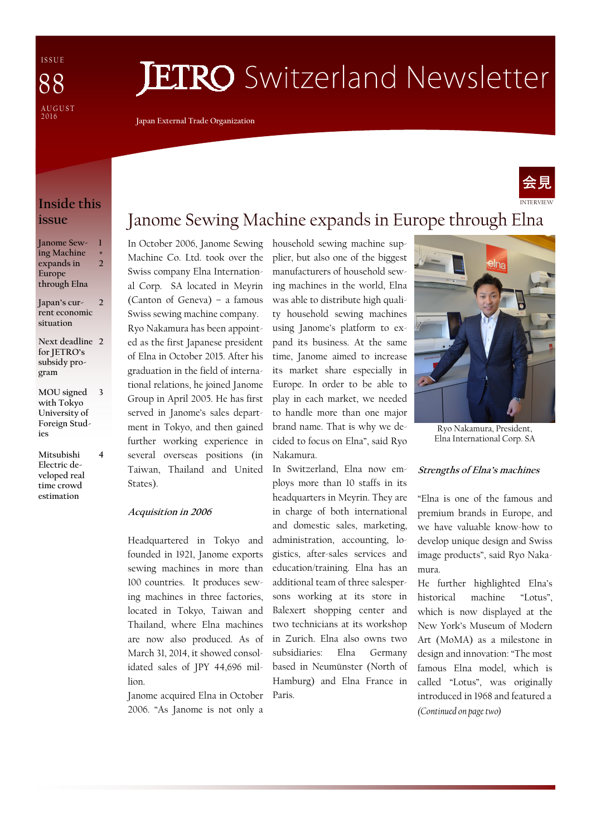I S S U E A U G U S T  $2016$ 88

# **JETRO** Switzerland Newsletter

**Japan External Trade Organization** 

### **Inside this issue**

| Janome Sew-   | П              |
|---------------|----------------|
| ing Machine   | ٠              |
| expands in    | $\mathfrak{D}$ |
| Europe        |                |
| through Elna  |                |
| Japan's cur-  | າ              |
| rent economic |                |
| situation     |                |

**Next deadline 2 for JETRO's subsidy program** 

- **MOU signed with Tokyo University of Foreign Studies 3**
- **Mitsubishi Electric developed real time crowd estimation**

**4** 

### Janome Sewing Machine expands in Europe through Elna

In October 2006, Janome Sewing Machine Co. Ltd. took over the Swiss company Elna International Corp. SA located in Meyrin (Canton of Geneva) – a famous Swiss sewing machine company. Ryo Nakamura has been appointed as the first Japanese president of Elna in October 2015. After his graduation in the field of international relations, he joined Janome Group in April 2005. He has first served in Janome's sales department in Tokyo, and then gained further working experience in several overseas positions (in Taiwan, Thailand and United States).

#### **Acquisition in 2006**

Headquartered in Tokyo and founded in 1921, Janome exports sewing machines in more than 100 countries. It produces sewing machines in three factories, located in Tokyo, Taiwan and Thailand, where Elna machines are now also produced. As of March 31, 2014, it showed consolidated sales of JPY 44,696 million.

Janome acquired Elna in October Paris. 2006. "As Janome is not only a

household sewing machine supplier, but also one of the biggest manufacturers of household sewing machines in the world, Elna was able to distribute high quality household sewing machines using Janome's platform to expand its business. At the same time, Janome aimed to increase its market share especially in Europe. In order to be able to play in each market, we needed to handle more than one major brand name. That is why we decided to focus on Elna", said Ryo Nakamura.

In Switzerland, Elna now employs more than 10 staffs in its headquarters in Meyrin. They are in charge of both international and domestic sales, marketing, administration, accounting, logistics, after-sales services and education/training. Elna has an additional team of three salespersons working at its store in Balexert shopping center and two technicians at its workshop in Zurich. Elna also owns two subsidiaries: Elna Germany based in Neumünster (North of Hamburg) and Elna France in



INTERVIEW

会見

Ryo Nakamura, President, Elna International Corp. SA

#### **Strengths of Elna's machines**

"Elna is one of the famous and premium brands in Europe, and we have valuable know-how to develop unique design and Swiss image products", said Ryo Nakamura.

He further highlighted Elna's historical machine "Lotus", which is now displayed at the New York's Museum of Modern Art (MoMA) as a milestone in design and innovation: "The most famous Elna model, which is called "Lotus", was originally introduced in 1968 and featured a *(Continued on page two)*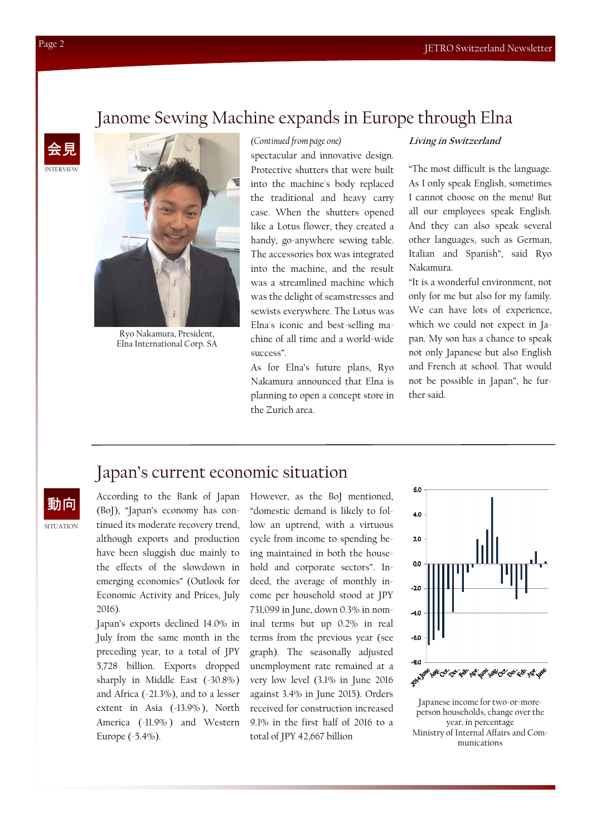### **NTERVIEW** 会見



Ryo Nakamura, President, Elna International Corp. SA

#### *(Continued from page one)*

Janome Sewing Machine expands in Europe through Elna

spectacular and innovative design. Protective shutters that were built into the machine's body replaced the traditional and heavy carry case. When the shutters opened like a Lotus flower, they created a handy, go-anywhere sewing table. The accessories box was integrated into the machine, and the result was a streamlined machine which was the delight of seamstresses and sewists everywhere. The Lotus was Elna's iconic and best-selling machine of all time and a world-wide success".

As for Elna's future plans, Ryo Nakamura announced that Elna is planning to open a concept store in the Zurich area.

#### **Living in Switzerland**

"The most difficult is the language. As I only speak English, sometimes I cannot choose on the menu! But all our employees speak English. And they can also speak several other languages, such as German, Italian and Spanish", said Ryo Nakamura.

"It is a wonderful environment, not only for me but also for my family. We can have lots of experience, which we could not expect in Japan. My son has a chance to speak not only Japanese but also English and French at school. That would not be possible in Japan", he further said.

### Japan's current economic situation

動向

SITUATION

According to the Bank of Japan (BoJ), "Japan's economy has continued its moderate recovery trend, although exports and production have been sluggish due mainly to the effects of the slowdown in emerging economies" (Outlook for Economic Activity and Prices, July 2016).

Japan's exports declined 14.0% in July from the same month in the preceding year, to a total of JPY 5,728 billion. Exports dropped sharply in Middle East (-30.8%) and Africa (-21.3%), and to a lesser extent in Asia (-13.9% ), North America (-11.9% ) and Western Europe (-5.4%).

However, as the BoJ mentioned, "domestic demand is likely to follow an uptrend, with a virtuous cycle from income to spending being maintained in both the household and corporate sectors". Indeed, the average of monthly income per household stood at JPY 731,099 in June, down 0.3% in nominal terms but up 0.2% in real terms from the previous year (see graph). The seasonally adjusted unemployment rate remained at a very low level (3.1% in June 2016 against 3.4% in June 2015). Orders received for construction increased 9.1% in the first half of 2016 to a total of JPY 42,667 billion



Japanese income for two-or-moreperson households, change over the year, in percentage Ministry of Internal Affairs and Communications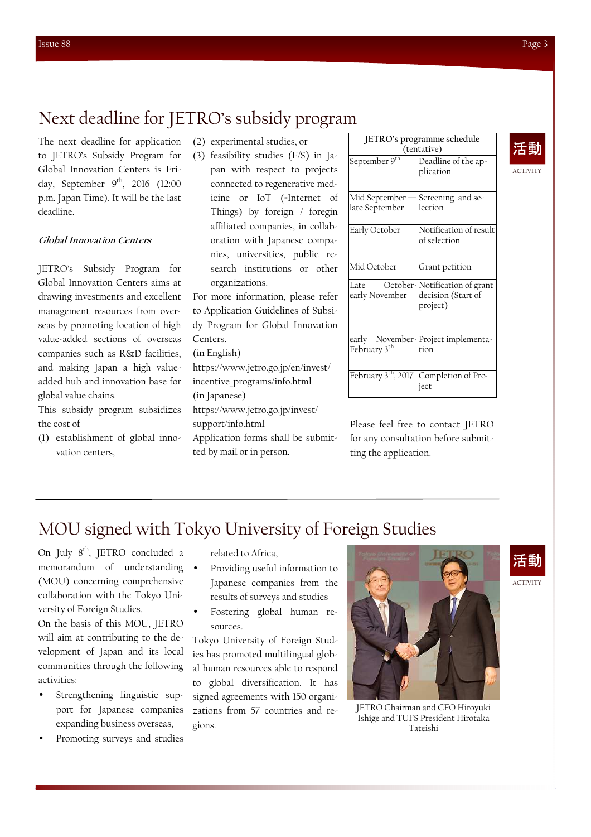## Next deadline for JETRO's subsidy program

The next deadline for application to JETRO's Subsidy Program for Global Innovation Centers is Friday, September  $9<sup>th</sup>$ , 2016 (12:00) p.m. Japan Time). It will be the last deadline.

### **Global Innovation Centers**

JETRO's Subsidy Program for Global Innovation Centers aims at drawing investments and excellent management resources from overseas by promoting location of high value-added sections of overseas companies such as R&D facilities, and making Japan a high valueadded hub and innovation base for global value chains.

This subsidy program subsidizes the cost of

(1) establishment of global innovation centers,

- (2) experimental studies, or
- (3) feasibility studies (F/S) in Japan with respect to projects connected to regenerative medicine or IoT (=Internet of Things) by foreign / foregin affiliated companies, in collaboration with Japanese companies, universities, public research institutions or other organizations.

For more information, please refer to Application Guidelines of Subsidy Program for Global Innovation Centers.

(in English)

https://www.jetro.go.jp/en/invest/ incentive\_programs/info.html (in Japanese) https://www.jetro.go.jp/invest/

support/info.html

Application forms shall be submitted by mail or in person.

| JETRO's programme schedule        |                                                                 |  |
|-----------------------------------|-----------------------------------------------------------------|--|
| (tentative)                       |                                                                 |  |
| September 9 <sup>th</sup>         | Deadline of the ap-<br>plication                                |  |
| Mid September                     | Screening and se-                                               |  |
| late September                    | lection                                                         |  |
| Early October                     | Notification of result<br>of selection                          |  |
| Mid October                       | Grant petition                                                  |  |
| Late<br>early November            | October-Notification of grant<br>decision (Start of<br>project) |  |
| early<br>February 3 <sup>th</sup> | November-Project implementa-<br>tion                            |  |
| February 3 <sup>th</sup> , 2017   | Completion of Pro-<br>ject                                      |  |

Please feel free to contact JETRO for any consultation before submitting the application.

### MOU signed with Tokyo University of Foreign Studies

On July 8<sup>th</sup>, JETRO concluded a memorandum of understanding (MOU) concerning comprehensive collaboration with the Tokyo University of Foreign Studies.

On the basis of this MOU, JETRO will aim at contributing to the development of Japan and its local communities through the following activities:

- Strengthening linguistic support for Japanese companies expanding business overseas,
- Promoting surveys and studies

related to Africa,

- Providing useful information to Japanese companies from the results of surveys and studies
- Fostering global human resources.

Tokyo University of Foreign Studies has promoted multilingual global human resources able to respond to global diversification. It has signed agreements with 150 organizations from 57 countries and regions.





ACTIVITY

ACTIVITY 活動